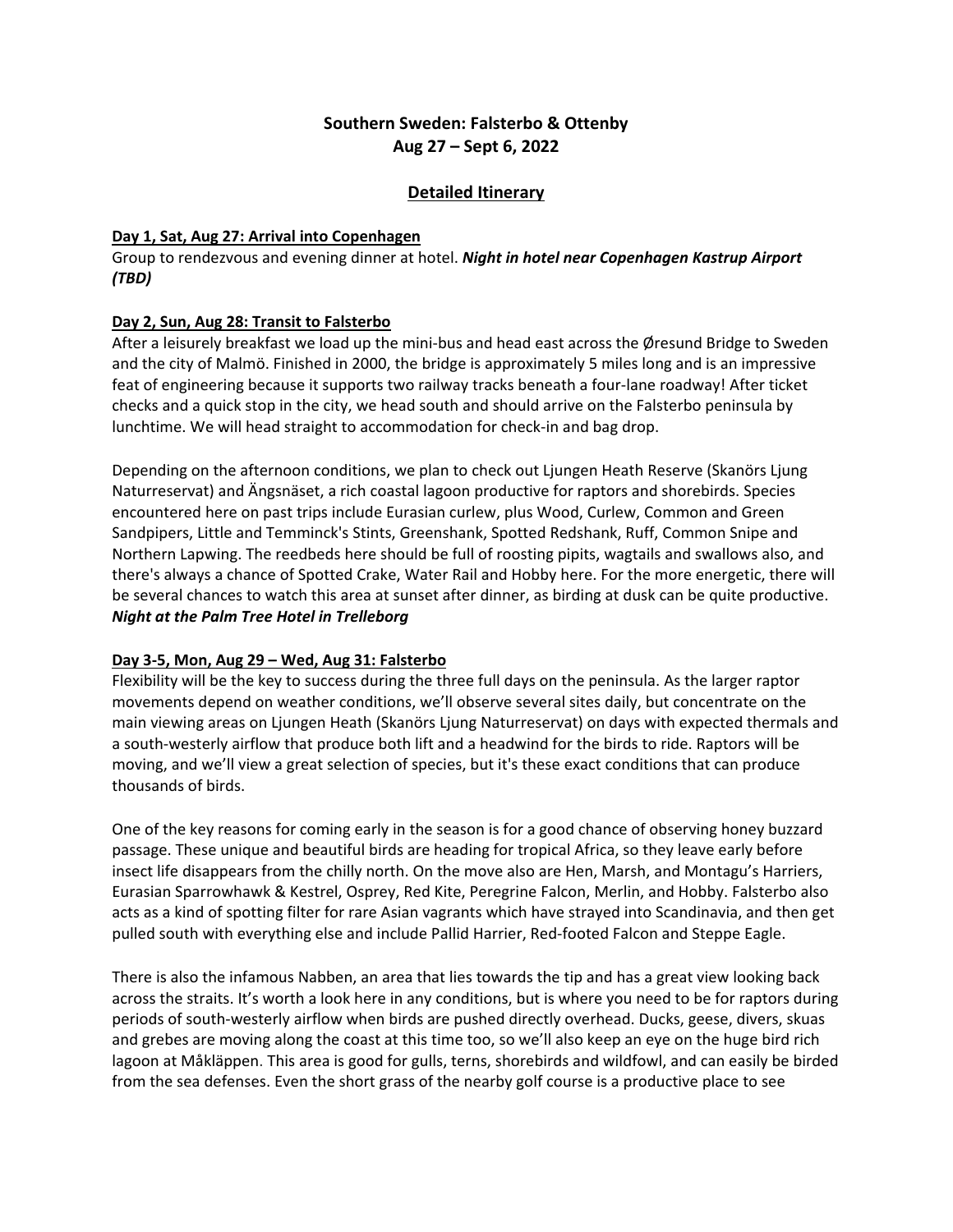# **Southern Sweden: Falsterbo & Ottenby Aug 27 – Sept 6, 2022**

## **Detailed Itinerary**

#### **Day 1, Sat, Aug 27: Arrival into Copenhagen**

Group to rendezvous and evening dinner at hotel. *Night in hotel near Copenhagen Kastrup Airport (TBD)*

#### **Day 2, Sun, Aug 28: Transit to Falsterbo**

After a leisurely breakfast we load up the mini-bus and head east across the Øresund Bridge to Sweden and the city of Malmö. Finished in 2000, the bridge is approximately 5 miles long and is an impressive feat of engineering because it supports two railway tracks beneath a four-lane roadway! After ticket checks and a quick stop in the city, we head south and should arrive on the Falsterbo peninsula by lunchtime. We will head straight to accommodation for check-in and bag drop.

Depending on the afternoon conditions, we plan to check out Ljungen Heath Reserve (Skanörs Ljung Naturreservat) and Ängsnäset, a rich coastal lagoon productive for raptors and shorebirds. Species encountered here on past trips include Eurasian curlew, plus Wood, Curlew, Common and Green Sandpipers, Little and Temminck's Stints, Greenshank, Spotted Redshank, Ruff, Common Snipe and Northern Lapwing. The reedbeds here should be full of roosting pipits, wagtails and swallows also, and there's always a chance of Spotted Crake, Water Rail and Hobby here. For the more energetic, there will be several chances to watch this area at sunset after dinner, as birding at dusk can be quite productive. *Night at the Palm Tree Hotel in Trelleborg* 

#### **Day 3-5, Mon, Aug 29 – Wed, Aug 31: Falsterbo**

Flexibility will be the key to success during the three full days on the peninsula. As the larger raptor movements depend on weather conditions, we'll observe several sites daily, but concentrate on the main viewing areas on Ljungen Heath (Skanörs Ljung Naturreservat) on days with expected thermals and a south-westerly airflow that produce both lift and a headwind for the birds to ride. Raptors will be moving, and we'll view a great selection of species, but it's these exact conditions that can produce thousands of birds.

One of the key reasons for coming early in the season is for a good chance of observing honey buzzard passage. These unique and beautiful birds are heading for tropical Africa, so they leave early before insect life disappears from the chilly north. On the move also are Hen, Marsh, and Montagu's Harriers, Eurasian Sparrowhawk & Kestrel, Osprey, Red Kite, Peregrine Falcon, Merlin, and Hobby. Falsterbo also acts as a kind of spotting filter for rare Asian vagrants which have strayed into Scandinavia, and then get pulled south with everything else and include Pallid Harrier, Red-footed Falcon and Steppe Eagle.

There is also the infamous Nabben, an area that lies towards the tip and has a great view looking back across the straits. It's worth a look here in any conditions, but is where you need to be for raptors during periods of south-westerly airflow when birds are pushed directly overhead. Ducks, geese, divers, skuas and grebes are moving along the coast at this time too, so we'll also keep an eye on the huge bird rich lagoon at Måkläppen. This area is good for gulls, terns, shorebirds and wildfowl, and can easily be birded from the sea defenses. Even the short grass of the nearby golf course is a productive place to see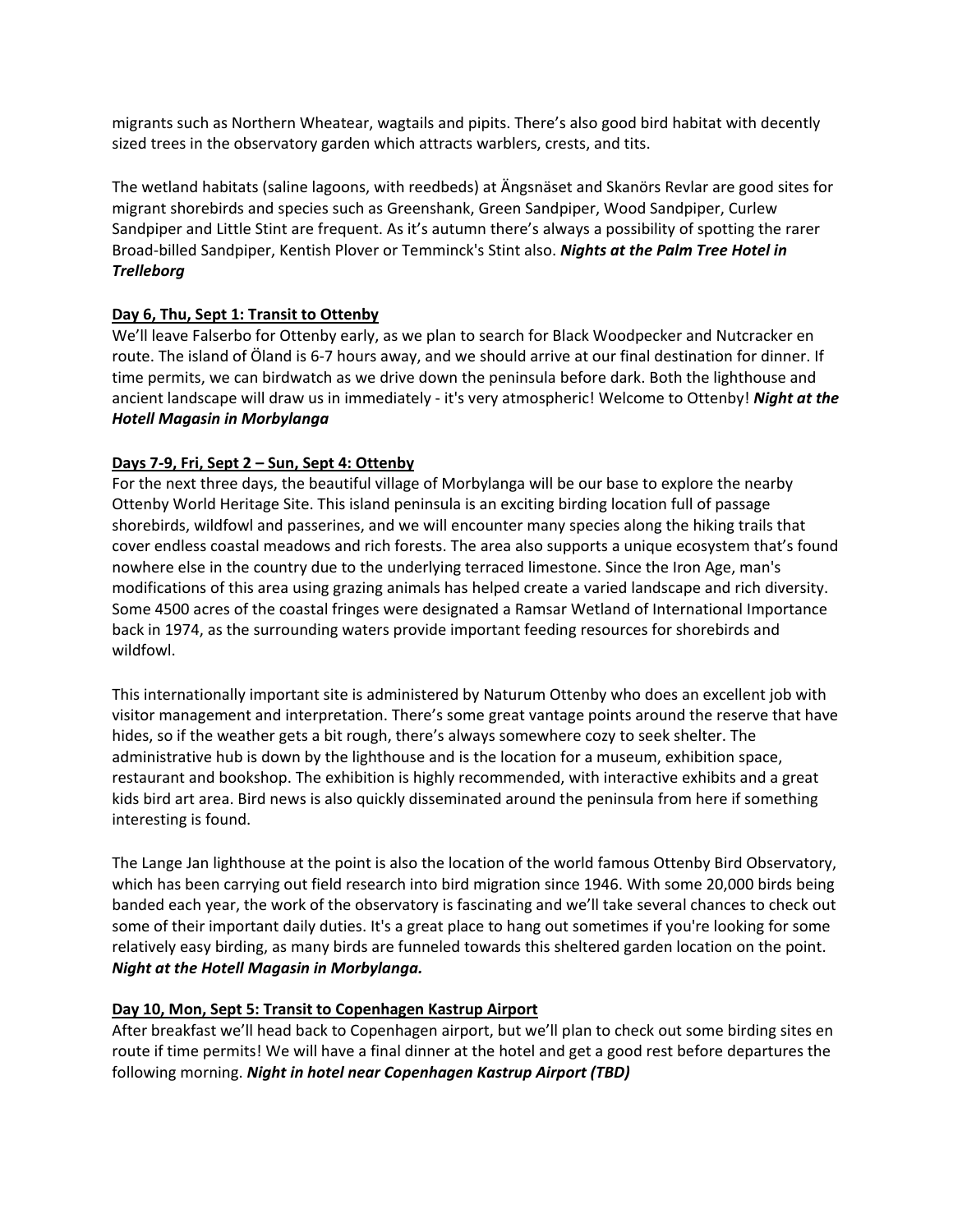migrants such as Northern Wheatear, wagtails and pipits. There's also good bird habitat with decently sized trees in the observatory garden which attracts warblers, crests, and tits.

The wetland habitats (saline lagoons, with reedbeds) at Ängsnäset and Skanörs Revlar are good sites for migrant shorebirds and species such as Greenshank, Green Sandpiper, Wood Sandpiper, Curlew Sandpiper and Little Stint are frequent. As it's autumn there's always a possibility of spotting the rarer Broad-billed Sandpiper, Kentish Plover or Temminck's Stint also. *Nights at the Palm Tree Hotel in Trelleborg*

## **Day 6, Thu, Sept 1: Transit to Ottenby**

We'll leave Falserbo for Ottenby early, as we plan to search for Black Woodpecker and Nutcracker en route. The island of Öland is 6-7 hours away, and we should arrive at our final destination for dinner. If time permits, we can birdwatch as we drive down the peninsula before dark. Both the lighthouse and ancient landscape will draw us in immediately - it's very atmospheric! Welcome to Ottenby! *Night at the Hotell Magasin in Morbylanga*

### **Days 7-9, Fri, Sept 2 – Sun, Sept 4: Ottenby**

For the next three days, the beautiful village of Morbylanga will be our base to explore the nearby Ottenby World Heritage Site. This island peninsula is an exciting birding location full of passage shorebirds, wildfowl and passerines, and we will encounter many species along the hiking trails that cover endless coastal meadows and rich forests. The area also supports a unique ecosystem that's found nowhere else in the country due to the underlying terraced limestone. Since the Iron Age, man's modifications of this area using grazing animals has helped create a varied landscape and rich diversity. Some 4500 acres of the coastal fringes were designated a Ramsar Wetland of International Importance back in 1974, as the surrounding waters provide important feeding resources for shorebirds and wildfowl.

This internationally important site is administered by Naturum Ottenby who does an excellent job with visitor management and interpretation. There's some great vantage points around the reserve that have hides, so if the weather gets a bit rough, there's always somewhere cozy to seek shelter. The administrative hub is down by the lighthouse and is the location for a museum, exhibition space, restaurant and bookshop. The exhibition is highly recommended, with interactive exhibits and a great kids bird art area. Bird news is also quickly disseminated around the peninsula from here if something interesting is found.

The Lange Jan lighthouse at the point is also the location of the world famous Ottenby Bird Observatory, which has been carrying out field research into bird migration since 1946. With some 20,000 birds being banded each year, the work of the observatory is fascinating and we'll take several chances to check out some of their important daily duties. It's a great place to hang out sometimes if you're looking for some relatively easy birding, as many birds are funneled towards this sheltered garden location on the point. *Night at the Hotell Magasin in Morbylanga.*

#### **Day 10, Mon, Sept 5: Transit to Copenhagen Kastrup Airport**

After breakfast we'll head back to Copenhagen airport, but we'll plan to check out some birding sites en route if time permits! We will have a final dinner at the hotel and get a good rest before departures the following morning. *Night in hotel near Copenhagen Kastrup Airport (TBD)*